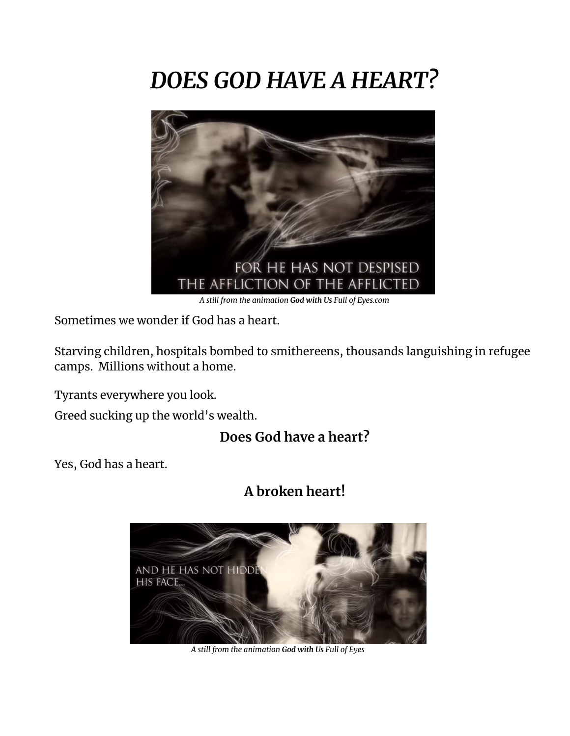## *DOES GOD HAVE A HEART?*



Sometimes we wonder if God has a heart.

Starving children, hospitals bombed to smithereens, thousands languishing in refugee camps. Millions without a home.

Tyrants everywhere you look.

Greed sucking up the world's wealth.

## **Does God have a heart?**

Yes, God has a heart.

## **A broken heart!**



*A still from the animation God with Us Full of Eyes*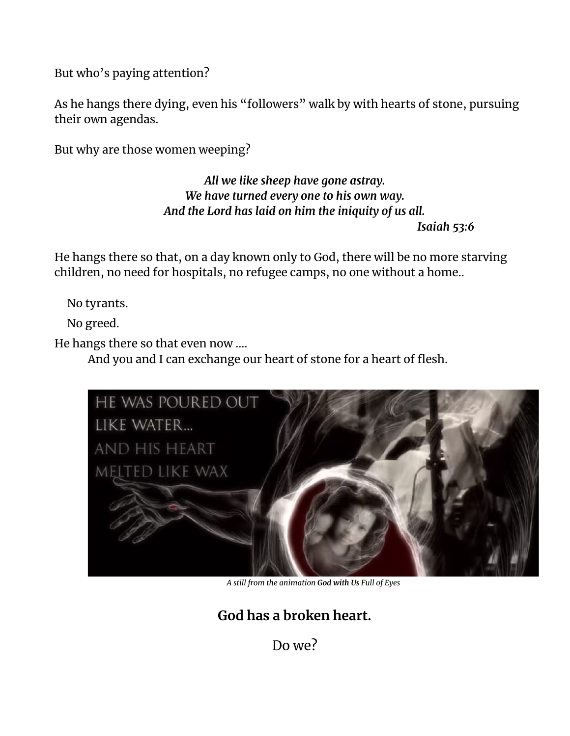But who's paying attention?

As he hangs there dying, even his "followers" walk by with hearts of stone, pursuing their own agendas.

But why are those women weeping?

*All we like sheep have gone astray. We have turned every one to his own way. And the Lord has laid on him the iniquity of us all.*

*Isaiah 53:6*

He hangs there so that, on a day known only to God, there will be no more starving children, no need for hospitals, no refugee camps, no one without a home..

No tyrants.

No greed.

He hangs there so that even now ….

And you and I can exchange our heart of stone for a heart of flesh.



*A still from the animation God with Us Full of Eyes*

**God has a broken heart.**

Do we?